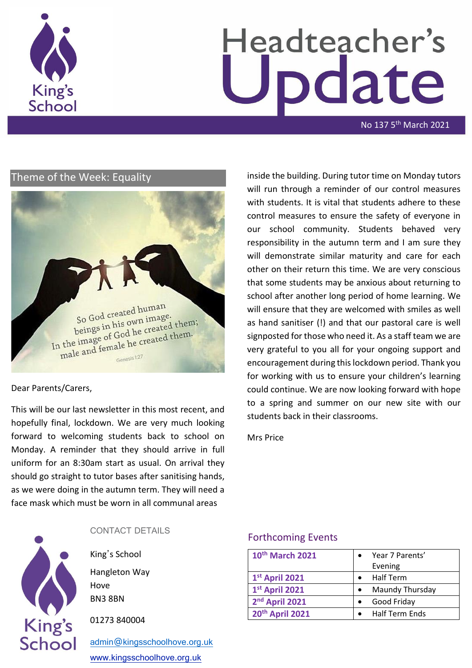

# Headteacher's odate

No 137 5<sup>th</sup> March 2021

#### Theme of the Week: Equality



#### Dear Parents/Carers,

This will be our last newsletter in this most recent, and hopefully final, lockdown. We are very much looking forward to welcoming students back to school on Monday. A reminder that they should arrive in full uniform for an 8:30am start as usual. On arrival they should go straight to tutor bases after sanitising hands, as we were doing in the autumn term. They will need a face mask which must be worn in all communal areas

inside the building. During tutor time on Monday tutors will run through a reminder of our control measures with students. It is vital that students adhere to these control measures to ensure the safety of everyone in our school community. Students behaved very responsibility in the autumn term and I am sure they will demonstrate similar maturity and care for each other on their return this time. We are very conscious that some students may be anxious about returning to school after another long period of home learning. We will ensure that they are welcomed with smiles as well as hand sanitiser (!) and that our pastoral care is well signposted for those who need it. As a staff team we are very grateful to you all for your ongoing support and encouragement during this lockdown period. Thank you for working with us to ensure your children's learning could continue. We are now looking forward with hope to a spring and summer on our new site with our students back in their classrooms.

Mrs Price



#### CONTACT DETAILS

King's School Hangleton Way Hove BN3 8BN

01273 840004

[admin@kingsschoolhove.org.uk](mailto:admin@kingsschoolhove.org.uk) [www.kingsschoolhove.org.uk](http://www.kingsschoolhove.org.uk/)

#### Forthcoming Events

| 10th March 2021            | Year 7 Parents'<br>Evening |
|----------------------------|----------------------------|
| 1st April 2021             | Half Term                  |
| 1st April 2021             | Maundy Thursday            |
| 2 <sup>nd</sup> April 2021 | Good Friday                |
| 20th April 2021            | Half Term Ends             |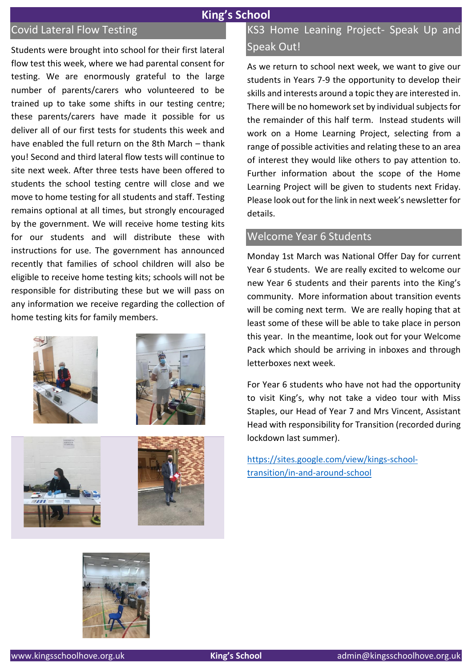## **King's School**

## Covid Lateral Flow Testing

Students were brought into school for their first lateral flow test this week, where we had parental consent for testing. We are enormously grateful to the large number of parents/carers who volunteered to be trained up to take some shifts in our testing centre; these parents/carers have made it possible for us deliver all of our first tests for students this week and have enabled the full return on the 8th March – thank you! Second and third lateral flow tests will continue to site next week. After three tests have been offered to students the school testing centre will close and we move to home testing for all students and staff. Testing remains optional at all times, but strongly encouraged by the government. We will receive home testing kits for our students and will distribute these with instructions for use. The government has announced recently that families of school children will also be eligible to receive home testing kits; schools will not be responsible for distributing these but we will pass on any information we receive regarding the collection of home testing kits for family members.









As we return to school next week, we want to give our students in Years 7-9 the opportunity to develop their skills and interests around a topic they are interested in. There will be no homework set by individual subjects for the remainder of this half term. Instead students will work on a Home Learning Project, selecting from a range of possible activities and relating these to an area of interest they would like others to pay attention to. Further information about the scope of the Home Learning Project will be given to students next Friday. Please look out for the link in next week's newsletter for details.

#### Welcome Year 6 Students

Monday 1st March was National Offer Day for current Year 6 students. We are really excited to welcome our new Year 6 students and their parents into the King's community. More information about transition events will be coming next term. We are really hoping that at least some of these will be able to take place in person this year. In the meantime, look out for your Welcome Pack which should be arriving in inboxes and through letterboxes next week.

For Year 6 students who have not had the opportunity to visit King's, why not take a video tour with Miss Staples, our Head of Year 7 and Mrs Vincent, Assistant Head with responsibility for Transition (recorded during lockdown last summer).

[https://sites.google.com/view/kings-school](https://sites.google.com/view/kings-school-transition/in-and-around-school)[transition/in-and-around-school](https://sites.google.com/view/kings-school-transition/in-and-around-school)

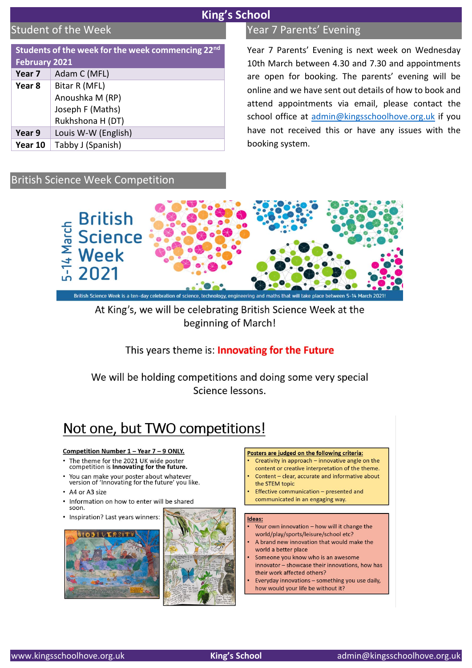## **King's School**

## Student of the Week

| Students of the week for the week commencing 22nd |                     |
|---------------------------------------------------|---------------------|
| <b>February 2021</b>                              |                     |
| Year 7                                            | Adam C (MFL)        |
| Year 8                                            | Bitar R (MFL)       |
|                                                   | Anoushka M (RP)     |
|                                                   | Joseph F (Maths)    |
|                                                   | Rukhshona H (DT)    |
| Year 9                                            | Louis W-W (English) |
| Year 10                                           | Tabby J (Spanish)   |

## Year 7 Parents' Evening

Year 7 Parents' Evening is next week on Wednesday 10th March between 4.30 and 7.30 and appointments are open for booking. The parents' evening will be online and we have sent out details of how to book and attend appointments via email, please contact the school office at [admin@kingsschoolhove.org.uk](mailto:admin@kingsschoolhove.org.uk) if you have not received this or have any issues with the booking system.

## British Science Week Competition



## At King's, we will be celebrating British Science Week at the beginning of March!

This years theme is: **Innovating for the Future** 

We will be holding competitions and doing some very special Science lessons.

## Not one, but TWO competitions!

#### Competition Number 1 - Year 7 - 9 ONLY.

- The theme for the 2021 UK wide poster competition is Innovating for the future.
- You can make your poster about whatever version of 'Innovating for the future' you like.
- A4 or A3 size
- Information on how to enter will be shared soon.
- Inspiration? Last years winners:





#### Posters are judged on the following criteria:

- Creativity in approach innovative angle on the content or creative interpretation of the theme
- Content clear, accurate and informative about the STEM topic
- Effective communication presented and communicated in an engaging way.

#### Ideas:

- Your own innovation how will it change the world/play/sports/leisure/school etc?
- A brand new innovation that would make the world a better place
- Someone you know who is an awesome innovator - showcase their innovations, how has their work affected others?
- Everyday innovations something you use daily, how would your life be without it?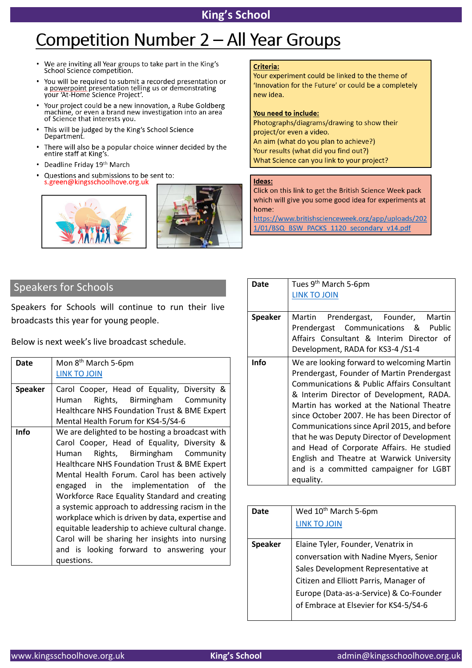## **King's School**

# Competition Number 2 - All Year Groups

- We are inviting all Year groups to take part in the King's  $\bullet$ School Science competition.
- You will be required to submit a recorded presentation or<br>a powerpoint presentation telling us or demonstrating  $\bullet$ your 'At-Home Science Project'.
- Your project could be a new innovation, a Rube Goldberg machine, or even a brand new investigation into an area of Science that interests you.
- This will be judged by the King's School Science Department.
- There will also be a popular choice winner decided by the entire staff at King's.
- Deadline Friday 19th March
- Questions and submissions to be sent to:  $\bullet$ s.green@kingsschoolhove.org.uk





#### Criteria:

Your experiment could be linked to the theme of 'Innovation for the Future' or could be a completely new idea.

#### You need to include:

Photographs/diagrams/drawing to show their project/or even a video. An aim (what do you plan to achieve?) Your results (what did you find out?) What Science can you link to your project?

#### Ideas:

Click on this link to get the British Science Week pack which will give you some good idea for experiments at home:

https://www.britishscienceweek.org/app/uploads/202 1/01/BSQ BSW PACKS 1120 secondary v14.pdf

## Speakers for Schools

Speakers for Schools will continue to run their live broadcasts this year for young people.

Below is next week's live broadcast schedule.

| Date           | Mon 8 <sup>th</sup> March 5-6pm                  |
|----------------|--------------------------------------------------|
|                | <b>LINK TO JOIN</b>                              |
| <b>Speaker</b> | Carol Cooper, Head of Equality, Diversity &      |
|                | Rights, Birmingham Community<br>Human            |
|                | Healthcare NHS Foundation Trust & BME Expert     |
|                | Mental Health Forum for KS4-5/S4-6               |
| <b>Info</b>    | We are delighted to be hosting a broadcast with  |
|                | Carol Cooper, Head of Equality, Diversity &      |
|                | Rights, Birmingham Community<br>Human            |
|                | Healthcare NHS Foundation Trust & BME Expert     |
|                | Mental Health Forum. Carol has been actively     |
|                | engaged in the implementation of the             |
|                | Workforce Race Equality Standard and creating    |
|                | a systemic approach to addressing racism in the  |
|                | workplace which is driven by data, expertise and |
|                | equitable leadership to achieve cultural change. |
|                | Carol will be sharing her insights into nursing  |
|                | and is looking forward to answering your         |
|                | questions.                                       |

| Date           | Tues 9 <sup>th</sup> March 5-6pm            |
|----------------|---------------------------------------------|
|                | <b>LINK TO JOIN</b>                         |
|                |                                             |
| <b>Speaker</b> | Prendergast, Founder, Martin<br>Martin      |
|                | Prendergast Communications & Public         |
|                | Affairs Consultant & Interim Director of    |
|                | Development, RADA for KS3-4 /S1-4           |
| <b>Info</b>    | We are looking forward to welcoming Martin  |
|                | Prendergast, Founder of Martin Prendergast  |
|                | Communications & Public Affairs Consultant  |
|                | & Interim Director of Development, RADA.    |
|                | Martin has worked at the National Theatre   |
|                | since October 2007. He has been Director of |
|                | Communications since April 2015, and before |
|                | that he was Deputy Director of Development  |
|                | and Head of Corporate Affairs. He studied   |
|                | English and Theatre at Warwick University   |
|                | and is a committed campaigner for LGBT      |
|                | equality.                                   |
|                |                                             |

| <b>Date</b>    | Wed 10 <sup>th</sup> March 5-6pm<br><b>LINK TO JOIN</b>                                                                                                                                                                                           |
|----------------|---------------------------------------------------------------------------------------------------------------------------------------------------------------------------------------------------------------------------------------------------|
| <b>Speaker</b> | Elaine Tyler, Founder, Venatrix in<br>conversation with Nadine Myers, Senior<br>Sales Development Representative at<br>Citizen and Elliott Parris, Manager of<br>Europe (Data-as-a-Service) & Co-Founder<br>of Embrace at Elsevier for KS4-5/S4-6 |